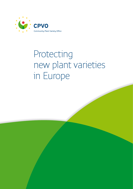

# Protecting new plant varieties in Europe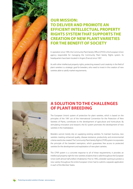

## **OUR MISSION: TO DELIVER AND PROMOTE AN EFFICIENT INTELLECTUAL PROPERTY RIGHTS SYSTEM THAT SUPPORTS THE CREATION OF NEW PLANT VARIETIES FOR THE BENEFIT OF SOCIETY**

In operation since 1995, the Community Plant Variety Office (CPVO) is the European Union agency responsible for managing the Community Plant Variety Rights system. Its headquarters have been located in Angers (France) since 1997.

As with other intellectual property rights, protecting research and creativity in the field of plant varieties is a strategic goal for breeders, who need to invest in the creation of new varieties able to satisfy market requirements.



## **A SOLUTION TO THE CHALLENGES OF PLANT BREEDING**

The European Union's system of protection for plant varieties, which is based on the principles of the 1991 act of the International Convention for the Protection of New Varieties of Plants, contributes to the development of agriculture and horticulture. By stimulating innovation and research, the EU system promotes the development of new varieties in the marketplace.

Breeders cannot merely rely on supplying existing varieties. To maintain business, new varieties meeting enhanced quality, disease-resistance, productivity and environmental criteria need to be created. The Community Plant Variety Rights (CPVR) system incorporates the principle of the breeders' exemption, which guarantees free access to protected varieties for the development and exploitation of new plant varieties.

The CPVR system is a concrete response to all of these requirements; it provides an intellectual property right for new varieties of plants that is valid throughout the European Union (with almost half a billion inhabitants). Prior to 1995, a breeder wanting to protect a new variety throughout the entire European Union had to submit a separate application in each of the Member States.

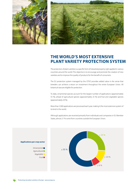



## **THE WORLD'S MOST EXTENSIVE PLANT VARIETY PROTECTION SYSTEM**

The protection of plant varieties is a specific form of industrial property right applied in various countries around the world. The objective is to encourage and promote the creation of new varieties and to improve the quality of products for the benefit of consumers.

The EU protection system managed by the CPVO provides added value in the sense that breeders can achieve a return on investment throughout the entire European Union. All botanical taxa are eligible for protection.

To date, ornamental species account for the largest number of applications (approximately 55 %), ahead of agricultural species (approximately 25 %) and fruit and vegetable species (approximately 20 %).

More than 3 000 applications are processed each year, making it the most extensive system of its kind in the world.

Although applications are received primarily from individuals and companies in EU Member States, almost 21 % come from countries outside the European Union.



Protecting new plant varieties in Europe • cpvo.europa.eu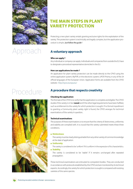

## Approach

## Procedure



## **THE MAIN STEPS IN PLANT VARIETY PROTECTION**

Protecting a new plant variety entails granting exclusive rights for the exploitation of the variety. The protection system is technically and legally complex, but the application procedure is simple. *Just follow the guide !*

### **A voluntary approach**

### **Who can apply ?**

Any individual or company can apply. Individuals and companies from outside the EU have to designate a procedural representative domiciled in the EU.

#### **How can applications be made ?**

An application for plant variety protection can be made directly to the CPVO using the online application system, MyPVR, or the electronic system, UPOV Prisma, in any of the 24 official languages of the European Union. Application forms are available from the CPVO website : http://cpvo.europa.eu/

### **A procedure that respects creativity**

#### **Checking the application**

The first task of the CPVO is to verify that the application is complete and eligible. The CPVO studies if the variety is in fact **novel** and if the other legal requirements have been fulfilled, such as entitlement to the variety for which protection is sought. If no formal impediment to granting a Community plant variety right is found, the CPVO arranges for technical examinations of the variety in question.

#### **Technical examinations**

The purpose of these examinations is to ensure that the criteria of distinctness, uniformity and stability are complied with. It is crucial that the variety submitted meets these three conditions.

#### **Distinctness**

The variety must be clearly distinguishable from any other variety of common knowledge at the date of application.

**Uniformity**

The variety is considered to be 'uniform' if it is uniform in the expression of its characteristics.

 **Stability**

The variety is considered to be 'stable' if it remains unchanged after repeated propagation.

These technical examinations are entrusted to competent bodies. They are conducted in accordance with protocols established by the CPVO and are monitored by its technical experts. Accordingly, the variety for which protection is sought is compared with existing varieties of the same species.

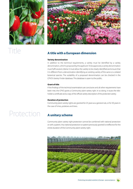

## Title



### **A title with a European dimension**

#### **Variety denomination**

In addition to the technical requirements, a variety must be identified by a variety denomination, which is proposed by the applicant. To be approved, a variety denomination must fulfil several criteria: it must allow the variety to be clearly identified and ensure that it is different from a denomination identifying an existing variety of the same or a related botanical species. The suitability of a proposed denomination can be checked in the CPVO's Variety Finder database. This database is open to the public.

#### **Grant of title**

If the findings of the technical examinations are conclusive and all other requirements have been met, the CPVO grants a Community plant variety right. In so doing, it issues the titleholder a certificate and a copy of the official variety description of the protected variety.

#### **Duration of protection**

Community plant variety rights are granted for 25 years as a general rule, or for 30 years in the case of vines, potatoes and trees.

## Protection **A unitary scheme**

Community plant variety right protection cannot be combined with national protection or with a patent. Any national protection or patent previously granted is ineffective for the entire duration of the Community plant variety right.

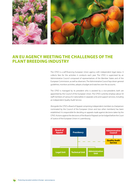

## **AN EU AGENCY MEETING THE CHALLENGES OF THE PLANT BREEDING INDUSTRY**

The CPVO is a self-financing European Union agency with independent legal status. It collects fees for the activities it conducts each year. The CPVO is supervised by an Administrative Council composed of representatives of the Member States and of the European Commission, as well as observers. The Administrative Council lays down general guidelines, monitors activities, adopts a budget and watches over the accounts.

The CPVO is managed by its president who is assisted by a vice-president; both are appointed by the Council of the European Union. The CPVO currently employs about 50 staff members of various EU nationalities in separate units and support services, including an independent Quality Audit Service.

Alongside the CPVO a Board of Appeal comprising independent members (a chairperson nominated by the Council of the European Union and two other members) has been established. It is responsible for deciding on appeals made against decisions taken by the CPVO. Actions against the decisions of the Board of Appeal can be lodged before the Court of Justice of the European Union in Luxembourg.

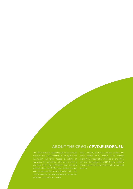## **ABOUT THE CPVO : CPVO.EUROPA.EU**

details on the CPVO's activities. It also supplies the varieties within the CPVR system. Applications and official gazette on its website, which provides an annual report with an annex listing all the protected